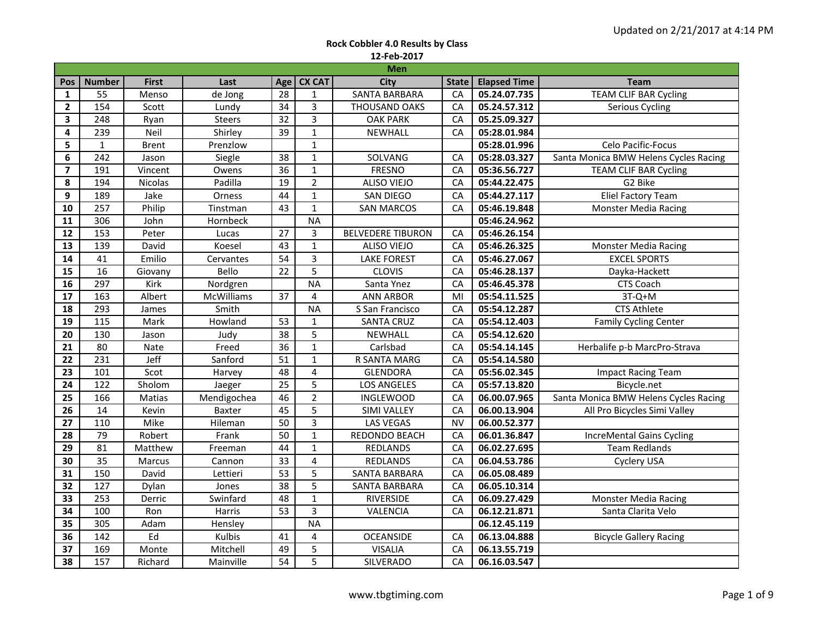|                | <b>Men</b>      |              |                   |                 |                         |                          |              |                     |                                       |  |  |  |  |
|----------------|-----------------|--------------|-------------------|-----------------|-------------------------|--------------------------|--------------|---------------------|---------------------------------------|--|--|--|--|
| Pos            | <b>Number</b>   | <b>First</b> | Last              | Age             | <b>CX CAT</b>           | <b>City</b>              | <b>State</b> | <b>Elapsed Time</b> | <b>Team</b>                           |  |  |  |  |
| $\mathbf{1}$   | 55              | Menso        | de Jong           | $\overline{28}$ | $\mathbf{1}$            | <b>SANTA BARBARA</b>     | CA           | 05.24.07.735        | <b>TEAM CLIF BAR Cycling</b>          |  |  |  |  |
| $\overline{2}$ | 154             | Scott        | Lundy             | 34              | $\overline{3}$          | <b>THOUSAND OAKS</b>     | CA           | 05.24.57.312        | <b>Serious Cycling</b>                |  |  |  |  |
| 3              | 248             | Ryan         | <b>Steers</b>     | $\overline{32}$ | $\overline{3}$          | <b>OAK PARK</b>          | CA           | 05.25.09.327        |                                       |  |  |  |  |
| 4              | 239             | Neil         | Shirley           | $\overline{39}$ | $\mathbf{1}$            | <b>NEWHALL</b>           | CA           | 05:28.01.984        |                                       |  |  |  |  |
| 5              | $\mathbf{1}$    | <b>Brent</b> | Prenzlow          |                 | $\mathbf{1}$            |                          |              | 05:28.01.996        | Celo Pacific-Focus                    |  |  |  |  |
| 6              | 242             | Jason        | Siegle            | 38              | $\mathbf{1}$            | SOLVANG                  | CA           | 05:28.03.327        | Santa Monica BMW Helens Cycles Racing |  |  |  |  |
| $\overline{ }$ | 191             | Vincent      | Owens             | 36              | $\mathbf{1}$            | <b>FRESNO</b>            | CA           | 05:36.56.727        | <b>TEAM CLIF BAR Cycling</b>          |  |  |  |  |
| 8              | 194             | Nicolas      | Padilla           | $\overline{19}$ | $\overline{2}$          | <b>ALISO VIEJO</b>       | CA           | 05:44.22.475        | G2 Bike                               |  |  |  |  |
| 9              | 189             | Jake         | Orness            | 44              | $\mathbf{1}$            | SAN DIEGO                | CA           | 05:44.27.117        | <b>Eliel Factory Team</b>             |  |  |  |  |
| 10             | 257             | Philip       | Tinstman          | 43              | $\mathbf{1}$            | <b>SAN MARCOS</b>        | CA           | 05:46.19.848        | <b>Monster Media Racing</b>           |  |  |  |  |
| 11             | 306             | John         | Hornbeck          |                 | <b>NA</b>               |                          |              | 05:46.24.962        |                                       |  |  |  |  |
| 12             | 153             | Peter        | Lucas             | 27              | 3                       | <b>BELVEDERE TIBURON</b> | CA           | 05:46.26.154        |                                       |  |  |  |  |
| 13             | 139             | David        | Koesel            | 43              | $\mathbf 1$             | <b>ALISO VIEJO</b>       | CA           | 05:46.26.325        | <b>Monster Media Racing</b>           |  |  |  |  |
| ${\bf 14}$     | 41              | Emilio       | Cervantes         | 54              | 3                       | <b>LAKE FOREST</b>       | CA           | 05:46.27.067        | <b>EXCEL SPORTS</b>                   |  |  |  |  |
| 15             | 16              | Giovany      | Bello             | $\overline{22}$ | 5                       | <b>CLOVIS</b>            | CA           | 05:46.28.137        | Dayka-Hackett                         |  |  |  |  |
| 16             | 297             | Kirk         | Nordgren          |                 | <b>NA</b>               | Santa Ynez               | CA           | 05:46.45.378        | CTS Coach                             |  |  |  |  |
| 17             | $\frac{163}{ }$ | Albert       | <b>McWilliams</b> | $\overline{37}$ | 4                       | <b>ANN ARBOR</b>         | MI           | 05:54.11.525        | $3T-Q+M$                              |  |  |  |  |
| 18             | 293             | James        | Smith             |                 | <b>NA</b>               | S San Francisco          | CA           | 05:54.12.287        | <b>CTS Athlete</b>                    |  |  |  |  |
| 19             | 115             | Mark         | Howland           | 53              | $\mathbf{1}$            | <b>SANTA CRUZ</b>        | CA           | 05:54.12.403        | <b>Family Cycling Center</b>          |  |  |  |  |
| 20             | 130             | Jason        | Judy              | $\overline{38}$ | 5                       | NEWHALL                  | CA           | 05:54.12.620        |                                       |  |  |  |  |
| 21             | 80              | Nate         | Freed             | 36              | $\mathbf{1}$            | Carlsbad                 | CA           | 05:54.14.145        | Herbalife p-b MarcPro-Strava          |  |  |  |  |
| 22             | 231             | Jeff         | Sanford           | $\overline{51}$ | $\mathbf{1}$            | R SANTA MARG             | CA           | 05:54.14.580        |                                       |  |  |  |  |
| 23             | 101             | Scot         | Harvey            | 48              | 4                       | <b>GLENDORA</b>          | CA           | 05:56.02.345        | <b>Impact Racing Team</b>             |  |  |  |  |
| 24             | 122             | Sholom       | Jaeger            | 25              | 5                       | <b>LOS ANGELES</b>       | CA           | 05:57.13.820        | Bicycle.net                           |  |  |  |  |
| 25             | 166             | Matias       | Mendigochea       | 46              | $\overline{2}$          | <b>INGLEWOOD</b>         | CA           | 06.00.07.965        | Santa Monica BMW Helens Cycles Racing |  |  |  |  |
| 26             | 14              | Kevin        | Baxter            | 45              | 5                       | <b>SIMI VALLEY</b>       | CA           | 06.00.13.904        | All Pro Bicycles Simi Valley          |  |  |  |  |
| 27             | 110             | Mike         | Hileman           | 50              | 3                       | <b>LAS VEGAS</b>         | <b>NV</b>    | 06.00.52.377        |                                       |  |  |  |  |
| 28             | 79              | Robert       | Frank             | $\overline{50}$ | $\mathbf{1}$            | REDONDO BEACH            | CA           | 06.01.36.847        | IncreMental Gains Cycling             |  |  |  |  |
| 29             | 81              | Matthew      | Freeman           | 44              | $\mathbf{1}$            | REDLANDS                 | CA           | 06.02.27.695        | <b>Team Redlands</b>                  |  |  |  |  |
| 30             | 35              | Marcus       | Cannon            | 33              | $\overline{\mathbf{4}}$ | <b>REDLANDS</b>          | CA           | 06.04.53.786        | Cyclery USA                           |  |  |  |  |
| 31             | 150             | David        | Lettieri          | 53              | $\overline{5}$          | <b>SANTA BARBARA</b>     | CA           | 06.05.08.489        |                                       |  |  |  |  |
| 32             | 127             | Dylan        | Jones             | $\overline{38}$ | 5                       | <b>SANTA BARBARA</b>     | CA           | 06.05.10.314        |                                       |  |  |  |  |
| 33             | 253             | Derric       | Swinfard          | 48              | $\mathbf{1}$            | <b>RIVERSIDE</b>         | CA           | 06.09.27.429        | <b>Monster Media Racing</b>           |  |  |  |  |
| 34             | 100             | Ron          | Harris            | $\overline{53}$ | 3                       | VALENCIA                 | CA           | 06.12.21.871        | Santa Clarita Velo                    |  |  |  |  |
| 35             | 305             | Adam         | Hensley           |                 | <b>NA</b>               |                          |              | 06.12.45.119        |                                       |  |  |  |  |
| 36             | 142             | Ed           | Kulbis            | 41              | 4                       | <b>OCEANSIDE</b>         | CA           | 06.13.04.888        | <b>Bicycle Gallery Racing</b>         |  |  |  |  |
| 37             | 169             | Monte        | Mitchell          | 49              | 5                       | <b>VISALIA</b>           | CA           | 06.13.55.719        |                                       |  |  |  |  |
| 38             | 157             | Richard      | Mainville         | 54              | 5                       | SILVERADO                | CA           | 06.16.03.547        |                                       |  |  |  |  |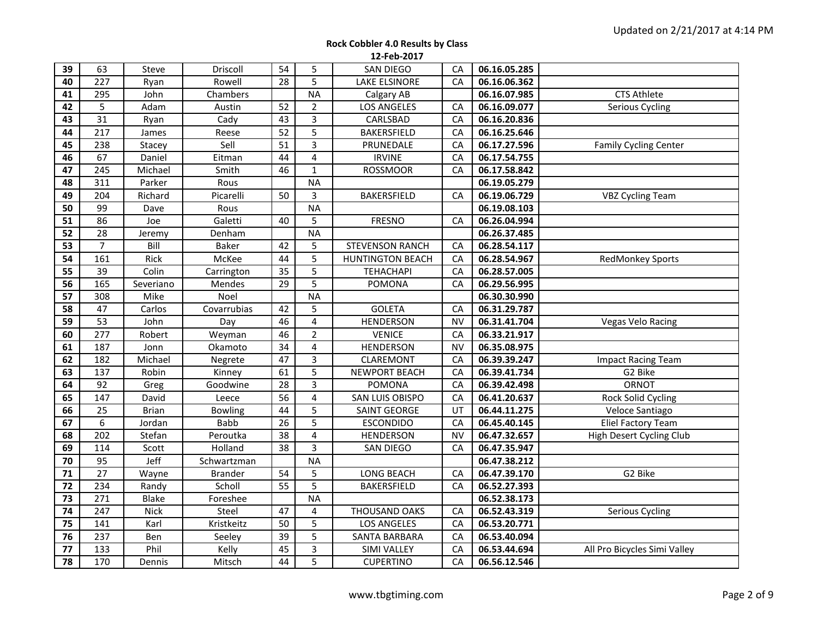| 39 | 63               | Steve        | Driscoll       | 54              | 5                       | <b>SAN DIEGO</b>        | CA        | 06.16.05.285 |                              |
|----|------------------|--------------|----------------|-----------------|-------------------------|-------------------------|-----------|--------------|------------------------------|
| 40 | 227              | Ryan         | Rowell         | 28              | 5                       | <b>LAKE ELSINORE</b>    | CA        | 06.16.06.362 |                              |
| 41 | 295              | John         | Chambers       |                 | <b>NA</b>               | Calgary AB              |           | 06.16.07.985 | <b>CTS Athlete</b>           |
| 42 | 5                | Adam         | Austin         | 52              | $\overline{2}$          | <b>LOS ANGELES</b>      | CA        | 06.16.09.077 | Serious Cycling              |
| 43 | $\overline{31}$  | Ryan         | Cady           | $\overline{43}$ | 3                       | CARLSBAD                | CA        | 06.16.20.836 |                              |
| 44 | 217              | James        | Reese          | 52              | 5                       | BAKERSFIELD             | CA        | 06.16.25.646 |                              |
| 45 | 238              | Stacey       | Sell           | 51              | $\overline{3}$          | PRUNEDALE               | CA        | 06.17.27.596 | <b>Family Cycling Center</b> |
| 46 | 67               | Daniel       | Eitman         | 44              | $\overline{\mathbf{4}}$ | <b>IRVINE</b>           | CA        | 06.17.54.755 |                              |
| 47 | 245              | Michael      | Smith          | 46              | $\mathbf{1}$            | <b>ROSSMOOR</b>         | CA        | 06.17.58.842 |                              |
| 48 | 311              | Parker       | Rous           |                 | <b>NA</b>               |                         |           | 06.19.05.279 |                              |
| 49 | 204              | Richard      | Picarelli      | 50              | 3                       | <b>BAKERSFIELD</b>      | CA        | 06.19.06.729 | <b>VBZ Cycling Team</b>      |
| 50 | 99               | Dave         | Rous           |                 | <b>NA</b>               |                         |           | 06.19.08.103 |                              |
| 51 | 86               | Joe          | Galetti        | 40              | 5                       | <b>FRESNO</b>           | CA        | 06.26.04.994 |                              |
| 52 | 28               | Jeremy       | Denham         |                 | <b>NA</b>               |                         |           | 06.26.37.485 |                              |
| 53 | $\overline{7}$   | Bill         | Baker          | 42              | 5                       | <b>STEVENSON RANCH</b>  | CA        | 06.28.54.117 |                              |
| 54 | 161              | Rick         | McKee          | 44              | 5                       | <b>HUNTINGTON BEACH</b> | CA        | 06.28.54.967 | RedMonkey Sports             |
| 55 | 39               | Colin        | Carrington     | $\overline{35}$ | 5                       | <b>TEHACHAPI</b>        | CA        | 06.28.57.005 |                              |
| 56 | 165              | Severiano    | Mendes         | 29              | 5                       | POMONA                  | CA        | 06.29.56.995 |                              |
| 57 | 308              | Mike         | Noel           |                 | <b>NA</b>               |                         |           | 06.30.30.990 |                              |
| 58 | 47               | Carlos       | Covarrubias    | 42              | 5                       | <b>GOLETA</b>           | CA        | 06.31.29.787 |                              |
| 59 | 53               | John         | Day            | 46              | 4                       | <b>HENDERSON</b>        | <b>NV</b> | 06.31.41.704 | <b>Vegas Velo Racing</b>     |
| 60 | $\overline{277}$ | Robert       | Weyman         | 46              | $\overline{2}$          | <b>VENICE</b>           | CA        | 06.33.21.917 |                              |
| 61 | 187              | Jonn         | Okamoto        | 34              | 4                       | <b>HENDERSON</b>        | <b>NV</b> | 06.35.08.975 |                              |
| 62 | 182              | Michael      | Negrete        | 47              | $\overline{\mathbf{3}}$ | CLAREMONT               | CA        | 06.39.39.247 | <b>Impact Racing Team</b>    |
| 63 | 137              | Robin        | Kinney         | 61              | 5                       | <b>NEWPORT BEACH</b>    | CA        | 06.39.41.734 | G2 Bike                      |
| 64 | 92               | Greg         | Goodwine       | 28              | 3                       | POMONA                  | CA        | 06.39.42.498 | ORNOT                        |
| 65 | 147              | David        | Leece          | 56              | $\overline{\mathbf{4}}$ | SAN LUIS OBISPO         | CA        | 06.41.20.637 | Rock Solid Cycling           |
| 66 | 25               | <b>Brian</b> | <b>Bowling</b> | 44              | 5                       | <b>SAINT GEORGE</b>     | UT        | 06.44.11.275 | Veloce Santiago              |
| 67 | 6                | Jordan       | <b>Babb</b>    | 26              | 5                       | <b>ESCONDIDO</b>        | CA        | 06.45.40.145 | <b>Eliel Factory Team</b>    |
| 68 | 202              | Stefan       | Peroutka       | 38              | $\overline{\mathbf{4}}$ | <b>HENDERSON</b>        | <b>NV</b> | 06.47.32.657 | High Desert Cycling Club     |
| 69 | 114              | Scott        | Holland        | 38              | 3                       | <b>SAN DIEGO</b>        | CA        | 06.47.35.947 |                              |
| 70 | 95               | Jeff         | Schwartzman    |                 | <b>NA</b>               |                         |           | 06.47.38.212 |                              |
| 71 | 27               | Wayne        | Brander        | 54              | 5                       | LONG BEACH              | CA        | 06.47.39.170 | G2 Bike                      |
| 72 | 234              | Randy        | Scholl         | 55              | 5                       | <b>BAKERSFIELD</b>      | CA        | 06.52.27.393 |                              |
| 73 | 271              | <b>Blake</b> | Foreshee       |                 | <b>NA</b>               |                         |           | 06.52.38.173 |                              |
| 74 | 247              | <b>Nick</b>  | Steel          | 47              | 4                       | THOUSAND OAKS           | CA        | 06.52.43.319 | Serious Cycling              |
| 75 | 141              | Karl         | Kristkeitz     | 50              | 5                       | LOS ANGELES             | CA        | 06.53.20.771 |                              |
| 76 | 237              | Ben          | Seeley         | $\overline{39}$ | 5                       | SANTA BARBARA           | CA        | 06.53.40.094 |                              |
| 77 | 133              | Phil         | Kelly          | 45              | 3                       | <b>SIMI VALLEY</b>      | CA        | 06.53.44.694 | All Pro Bicycles Simi Valley |
| 78 | 170              | Dennis       | Mitsch         | 44              | 5                       | <b>CUPERTINO</b>        | CA        | 06.56.12.546 |                              |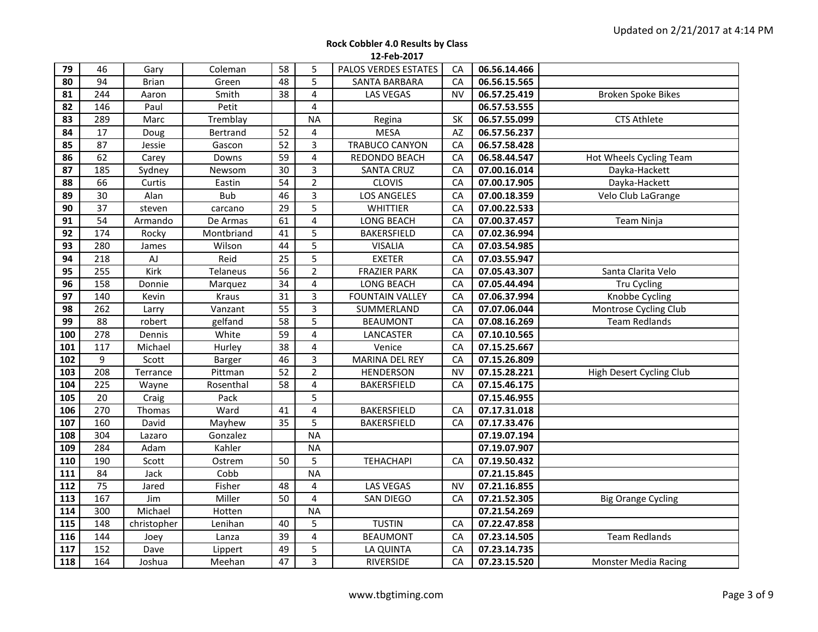| <b>Rock Cobbler 4.0 Results by Class</b> |
|------------------------------------------|
| 12-Feb-2017                              |

| 79<br>80 | 46<br>94         | Gary<br><b>Brian</b> | Coleman<br>Green | 58<br>48        | 5<br>5         | PALOS VERDES ESTATES<br>SANTA BARBARA | CA<br>CA  | 06.56.14.466<br>06.56.15.565 |                           |
|----------|------------------|----------------------|------------------|-----------------|----------------|---------------------------------------|-----------|------------------------------|---------------------------|
| 81       | 244              | Aaron                | Smith            | 38              | 4              | LAS VEGAS                             | NV        | 06.57.25.419                 | <b>Broken Spoke Bikes</b> |
| 82       | 146              | Paul                 | Petit            |                 | 4              |                                       |           | 06.57.53.555                 |                           |
| 83       | 289              | Marc                 | Tremblay         |                 | <b>NA</b>      | Regina                                | SK        | 06.57.55.099                 | <b>CTS Athlete</b>        |
| 84       | 17               | Doug                 | Bertrand         | 52              | $\overline{4}$ | <b>MESA</b>                           | AZ        | 06.57.56.237                 |                           |
| 85       | $\overline{87}$  | Jessie               | Gascon           | $\overline{52}$ | 3              | TRABUCO CANYON                        | CA        | 06.57.58.428                 |                           |
| 86       | 62               | Carey                | Downs            | 59              | 4              | REDONDO BEACH                         | CA        | 06.58.44.547                 | Hot Wheels Cycling Team   |
| 87       | 185              | Sydney               | Newsom           | 30              | 3              | <b>SANTA CRUZ</b>                     | CA        | 07.00.16.014                 | Dayka-Hackett             |
| 88       | 66               | Curtis               | Eastin           | $\overline{54}$ | $\overline{2}$ | <b>CLOVIS</b>                         | CA        | 07.00.17.905                 | Dayka-Hackett             |
| 89       | 30               | Alan                 | <b>Bub</b>       | 46              | $\overline{3}$ | LOS ANGELES                           | CA        | 07.00.18.359                 | Velo Club LaGrange        |
| 90       | 37               | steven               | carcano          | 29              | 5              | WHITTIER                              | CA        | 07.00.22.533                 |                           |
| 91       | 54               | Armando              | De Armas         | 61              | 4              | LONG BEACH                            | CA        | 07.00.37.457                 | Team Ninja                |
| 92       | 174              | Rocky                | Montbriand       | 41              | 5              | <b>BAKERSFIELD</b>                    | CA        | 07.02.36.994                 |                           |
| 93       | 280              | James                | Wilson           | 44              | 5              | <b>VISALIA</b>                        | CA        | 07.03.54.985                 |                           |
| 94       | 218              | AJ                   | Reid             | 25              | 5              | <b>EXETER</b>                         | CA        | 07.03.55.947                 |                           |
| 95       | 255              | Kirk                 | Telaneus         | 56              | $\overline{2}$ | <b>FRAZIER PARK</b>                   | CA        | 07.05.43.307                 | Santa Clarita Velo        |
| 96       | 158              | Donnie               | Marquez          | 34              | 4              | LONG BEACH                            | CA        | 07.05.44.494                 | Tru Cycling               |
| 97       | 140              | Kevin                | Kraus            | $\overline{31}$ | 3              | <b>FOUNTAIN VALLEY</b>                | CA        | 07.06.37.994                 | Knobbe Cycling            |
| 98       | 262              | Larry                | Vanzant          | 55              | $\overline{3}$ | SUMMERLAND                            | CA        | 07.07.06.044                 | Montrose Cycling Club     |
| 99       | 88               | robert               | gelfand          | 58              | 5              | <b>BEAUMONT</b>                       | CA        | 07.08.16.269                 | <b>Team Redlands</b>      |
| 100      | 278              | Dennis               | White            | 59              | 4              | LANCASTER                             | CA        | 07.10.10.565                 |                           |
| 101      | 117              | Michael              | Hurley           | 38              | 4              | Venice                                | CA        | 07.15.25.667                 |                           |
| 102      | 9                | Scott                | Barger           | 46              | 3              | MARINA DEL REY                        | CA        | 07.15.26.809                 |                           |
| 103      | $\overline{208}$ | Terrance             | Pittman          | $\overline{52}$ | $\overline{2}$ | HENDERSON                             | <b>NV</b> | 07.15.28.221                 | High Desert Cycling Club  |
| 104      | 225              | Wayne                | Rosenthal        | 58              | 4              | BAKERSFIELD                           | CA        | 07.15.46.175                 |                           |
| 105      | 20               | Craig                | Pack             |                 | $\overline{5}$ |                                       |           | 07.15.46.955                 |                           |
| 106      | 270              | Thomas               | Ward             | 41              | 4              | <b>BAKERSFIELD</b>                    | CA        | 07.17.31.018                 |                           |
| 107      | 160              | David                | Mayhew           | $\overline{35}$ | 5              | <b>BAKERSFIELD</b>                    | CA        | 07.17.33.476                 |                           |
| 108      | 304              | Lazaro               | Gonzalez         |                 | <b>NA</b>      |                                       |           | 07.19.07.194                 |                           |
| 109      | 284              | Adam                 | Kahler           |                 | <b>NA</b>      |                                       |           | 07.19.07.907                 |                           |
| 110      | 190              | Scott                | Ostrem           | 50              | 5              | <b>TEHACHAPI</b>                      | CA        | 07.19.50.432                 |                           |
| 111      | 84               | Jack                 | Cobb             |                 | <b>NA</b>      |                                       |           | 07.21.15.845                 |                           |
| 112      | 75               | Jared                | Fisher           | 48              | 4              | <b>LAS VEGAS</b>                      | <b>NV</b> | 07.21.16.855                 |                           |
| 113      | 167              | Jim                  | Miller           | 50              | 4              | SAN DIEGO                             | CA        | 07.21.52.305                 | <b>Big Orange Cycling</b> |
| 114      | 300              | Michael              | Hotten           |                 | <b>NA</b>      |                                       |           | 07.21.54.269                 |                           |
| 115      | 148              | christopher          | Lenihan          | 40              | 5              | <b>TUSTIN</b>                         | CA        | 07.22.47.858                 |                           |
| 116      | 144              | Joey                 | Lanza            | 39              | 4              | <b>BEAUMONT</b>                       | CA        | 07.23.14.505                 | <b>Team Redlands</b>      |
| 117      | 152              | Dave                 | Lippert          | 49              | 5              | LA QUINTA                             | CA        | 07.23.14.735                 |                           |
| 118      | 164              | Joshua               | Meehan           | 47              | 3              | RIVERSIDE                             | CA        | 07.23.15.520                 | Monster Media Racing      |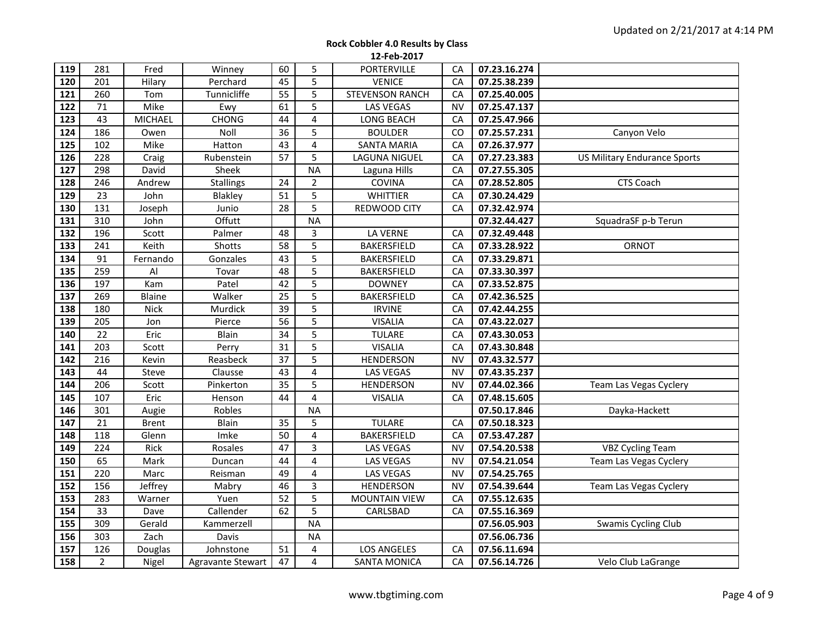| 119              | 281            | Fred           | Winney            | 60              | 5                       | <b>PORTERVILLE</b>     | CA        | 07.23.16.274 |                                     |
|------------------|----------------|----------------|-------------------|-----------------|-------------------------|------------------------|-----------|--------------|-------------------------------------|
| 120              | 201            | Hilary         | Perchard          | 45              | 5                       | <b>VENICE</b>          | CA        | 07.25.38.239 |                                     |
| 121              | 260            | Tom            | Tunnicliffe       | 55              | 5                       | <b>STEVENSON RANCH</b> | CA        | 07.25.40.005 |                                     |
| 122              | 71             | Mike           | Ewy               | 61              | 5                       | <b>LAS VEGAS</b>       | <b>NV</b> | 07.25.47.137 |                                     |
| 123              | 43             | <b>MICHAEL</b> | <b>CHONG</b>      | 44              | $\overline{\mathbf{4}}$ | LONG BEACH             | CA        | 07.25.47.966 |                                     |
| 124              | 186            | Owen           | Noll              | 36              | 5                       | <b>BOULDER</b>         | CO        | 07.25.57.231 | Canyon Velo                         |
| 125              | 102            | Mike           | Hatton            | 43              | $\overline{\mathbf{4}}$ | <b>SANTA MARIA</b>     | CA        | 07.26.37.977 |                                     |
| 126              | 228            | Craig          | Rubenstein        | 57              | 5                       | LAGUNA NIGUEL          | CA        | 07.27.23.383 | <b>US Military Endurance Sports</b> |
| 127              | 298            | David          | Sheek             |                 | <b>NA</b>               | Laguna Hills           | CA        | 07.27.55.305 |                                     |
| 128              | 246            | Andrew         | <b>Stallings</b>  | 24              | $\overline{2}$          | COVINA                 | CA        | 07.28.52.805 | CTS Coach                           |
| 129              | 23             | John           | Blakley           | 51              | 5                       | <b>WHITTIER</b>        | CA        | 07.30.24.429 |                                     |
| 130              | 131            | Joseph         | Junio             | 28              | 5                       | REDWOOD CITY           | CA        | 07.32.42.974 |                                     |
| 131              | 310            | John           | Offutt            |                 | <b>NA</b>               |                        |           | 07.32.44.427 | SquadraSF p-b Terun                 |
| 132              | 196            | Scott          | Palmer            | 48              | 3                       | LA VERNE               | CA        | 07.32.49.448 |                                     |
| 133              | 241            | Keith          | Shotts            | 58              | 5                       | <b>BAKERSFIELD</b>     | CA        | 07.33.28.922 | ORNOT                               |
| 134              | 91             | Fernando       | Gonzales          | 43              | $\overline{5}$          | BAKERSFIELD            | CA        | 07.33.29.871 |                                     |
| 135              | 259            | Al             | Tovar             | 48              | $\overline{5}$          | BAKERSFIELD            | CA        | 07.33.30.397 |                                     |
| 136              | 197            | Kam            | Patel             | 42              | 5                       | <b>DOWNEY</b>          | CA        | 07.33.52.875 |                                     |
| 137              | 269            | Blaine         | Walker            | $\overline{25}$ | $\overline{5}$          | <b>BAKERSFIELD</b>     | CA        | 07.42.36.525 |                                     |
| 138              | 180            | <b>Nick</b>    | Murdick           | $\overline{39}$ | 5                       | <b>IRVINE</b>          | CA        | 07.42.44.255 |                                     |
| 139              | 205            | Jon            | Pierce            | 56              | 5                       | <b>VISALIA</b>         | CA        | 07.43.22.027 |                                     |
| 140              | 22             | Eric           | Blain             | $\overline{34}$ | 5                       | <b>TULARE</b>          | CA        | 07.43.30.053 |                                     |
| 141              | 203            | Scott          | Perry             | 31              | 5                       | <b>VISALIA</b>         | CA        | 07.43.30.848 |                                     |
| 142              | 216            | Kevin          | Reasbeck          | $\overline{37}$ | $\overline{5}$          | <b>HENDERSON</b>       | <b>NV</b> | 07.43.32.577 |                                     |
| 143              | 44             | Steve          | Clausse           | 43              | $\overline{4}$          | <b>LAS VEGAS</b>       | <b>NV</b> | 07.43.35.237 |                                     |
| 144              | 206            | Scott          | Pinkerton         | 35              | 5                       | <b>HENDERSON</b>       | <b>NV</b> | 07.44.02.366 | Team Las Vegas Cyclery              |
| 145              | 107            | Eric           | Henson            | $\overline{44}$ | 4                       | <b>VISALIA</b>         | CA        | 07.48.15.605 |                                     |
| 146              | 301            | Augie          | Robles            |                 | <b>NA</b>               |                        |           | 07.50.17.846 | Dayka-Hackett                       |
| 147              | 21             | <b>Brent</b>   | Blain             | 35              | 5                       | <b>TULARE</b>          | CA        | 07.50.18.323 |                                     |
| 148              | 118            | Glenn          | Imke              | 50              | 4                       | BAKERSFIELD            | CA        | 07.53.47.287 |                                     |
| 149              | 224            | Rick           | Rosales           | 47              | 3                       | LAS VEGAS              | NV        | 07.54.20.538 | <b>VBZ Cycling Team</b>             |
| 150              | 65             | Mark           | Duncan            | 44              | $\overline{4}$          | LAS VEGAS              | <b>NV</b> | 07.54.21.054 | Team Las Vegas Cyclery              |
| 151              | 220            | Marc           | Reisman           | 49              | $\overline{\mathbf{4}}$ | LAS VEGAS              | <b>NV</b> | 07.54.25.765 |                                     |
| $15\overline{2}$ | 156            | Jeffrey        | Mabry             | 46              | 3                       | <b>HENDERSON</b>       | <b>NV</b> | 07.54.39.644 | Team Las Vegas Cyclery              |
| 153              | 283            | Warner         | Yuen              | 52              | 5                       | <b>MOUNTAIN VIEW</b>   | CA        | 07.55.12.635 |                                     |
| 154              | 33             | Dave           | Callender         | 62              | $\overline{5}$          | CARLSBAD               | CA        | 07.55.16.369 |                                     |
| 155              | 309            | Gerald         | Kammerzell        |                 | <b>NA</b>               |                        |           | 07.56.05.903 | Swamis Cycling Club                 |
| 156              | 303            | Zach           | Davis             |                 | <b>NA</b>               |                        |           | 07.56.06.736 |                                     |
| 157              | 126            | Douglas        | Johnstone         | 51              | 4                       | <b>LOS ANGELES</b>     | CA        | 07.56.11.694 |                                     |
| 158              | $\overline{2}$ | Nigel          | Agravante Stewart | 47              | 4                       | <b>SANTA MONICA</b>    | CA        | 07.56.14.726 | Velo Club LaGrange                  |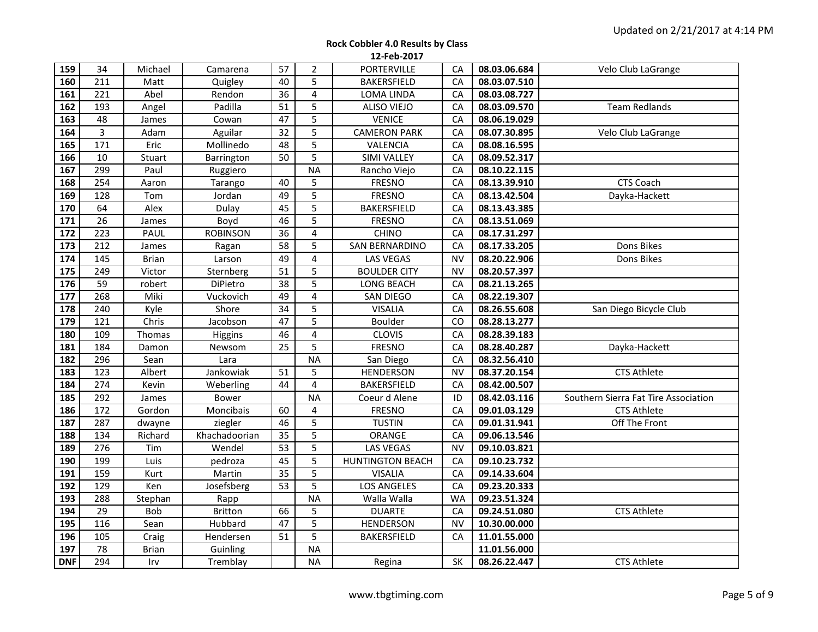| 159        | 34              | Michael      | Camarena        | 57              | $\overline{2}$          | PORTERVILLE             | CA        | 08.03.06.684 | Velo Club LaGrange                   |
|------------|-----------------|--------------|-----------------|-----------------|-------------------------|-------------------------|-----------|--------------|--------------------------------------|
| 160        | 211             | Matt         | Quigley         | 40              | 5                       | <b>BAKERSFIELD</b>      | CA        | 08.03.07.510 |                                      |
| 161        | 221             | Abel         | Rendon          | 36              | $\overline{\mathbf{4}}$ | LOMA LINDA              | CA        | 08.03.08.727 |                                      |
| 162        | 193             | Angel        | Padilla         | $\overline{51}$ | 5                       | <b>ALISO VIEJO</b>      | CA        | 08.03.09.570 | <b>Team Redlands</b>                 |
| 163        | 48              | James        | Cowan           | 47              | 5                       | <b>VENICE</b>           | CA        | 08.06.19.029 |                                      |
| 164        | $\overline{3}$  | Adam         | Aguilar         | $\overline{32}$ | 5                       | <b>CAMERON PARK</b>     | CA        | 08.07.30.895 | Velo Club LaGrange                   |
| 165        | 171             | Eric         | Mollinedo       | 48              | 5                       | VALENCIA                | CA        | 08.08.16.595 |                                      |
| 166        | 10              | Stuart       | Barrington      | 50              | 5                       | <b>SIMI VALLEY</b>      | CA        | 08.09.52.317 |                                      |
| 167        | 299             | Paul         | Ruggiero        |                 | <b>NA</b>               | Rancho Viejo            | CA        | 08.10.22.115 |                                      |
| 168        | 254             | Aaron        | Tarango         | 40              | 5                       | <b>FRESNO</b>           | CA        | 08.13.39.910 | <b>CTS Coach</b>                     |
| 169        | 128             | Tom          | Jordan          | 49              | 5                       | <b>FRESNO</b>           | CA        | 08.13.42.504 | Dayka-Hackett                        |
| 170        | 64              | Alex         | Dulay           | 45              | 5                       | BAKERSFIELD             | CA        | 08.13.43.385 |                                      |
| 171        | $\overline{26}$ | James        | Boyd            | 46              | 5                       | <b>FRESNO</b>           | CA        | 08.13.51.069 |                                      |
| 172        | 223             | PAUL         | <b>ROBINSON</b> | $\overline{36}$ | $\overline{4}$          | <b>CHINO</b>            | CA        | 08.17.31.297 |                                      |
| 173        | 212             | James        | Ragan           | 58              | 5                       | <b>SAN BERNARDINO</b>   | CA        | 08.17.33.205 | Dons Bikes                           |
| 174        | 145             | <b>Brian</b> | Larson          | 49              | $\overline{\mathbf{4}}$ | <b>LAS VEGAS</b>        | <b>NV</b> | 08.20.22.906 | Dons Bikes                           |
| 175        | 249             | Victor       | Sternberg       | 51              | 5                       | <b>BOULDER CITY</b>     | <b>NV</b> | 08.20.57.397 |                                      |
| 176        | 59              | robert       | DiPietro        | 38              | 5                       | LONG BEACH              | CA        | 08.21.13.265 |                                      |
| 177        | 268             | Miki         | Vuckovich       | 49              | $\overline{4}$          | <b>SAN DIEGO</b>        | CA        | 08.22.19.307 |                                      |
| 178        | 240             | Kyle         | Shore           | $\overline{34}$ | 5                       | <b>VISALIA</b>          | CA        | 08.26.55.608 | San Diego Bicycle Club               |
| 179        | 121             | Chris        | Jacobson        | $\overline{47}$ | 5                       | Boulder                 | CO        | 08.28.13.277 |                                      |
| 180        | 109             | Thomas       | Higgins         | 46              | $\overline{\mathbf{4}}$ | <b>CLOVIS</b>           | CA        | 08.28.39.183 |                                      |
| 181        | 184             | Damon        | Newsom          | 25              | 5                       | <b>FRESNO</b>           | CA        | 08.28.40.287 | Dayka-Hackett                        |
| 182        | 296             | Sean         | Lara            |                 | N <sub>A</sub>          | San Diego               | CA        | 08.32.56.410 |                                      |
| 183        | 123             | Albert       | Jankowiak       | 51              | 5                       | <b>HENDERSON</b>        | <b>NV</b> | 08.37.20.154 | <b>CTS Athlete</b>                   |
| 184        | 274             | Kevin        | Weberling       | 44              | $\overline{4}$          | <b>BAKERSFIELD</b>      | CA        | 08.42.00.507 |                                      |
| 185        | 292             | James        | Bower           |                 | <b>NA</b>               | Coeur d Alene           | ID        | 08.42.03.116 | Southern Sierra Fat Tire Association |
| 186        | 172             | Gordon       | Moncibais       | 60              | 4                       | <b>FRESNO</b>           | CA        | 09.01.03.129 | <b>CTS Athlete</b>                   |
| 187        | 287             | dwayne       | ziegler         | 46              | 5                       | <b>TUSTIN</b>           | CA        | 09.01.31.941 | Off The Front                        |
| 188        | 134             | Richard      | Khachadoorian   | $\overline{35}$ | 5                       | ORANGE                  | CA        | 09.06.13.546 |                                      |
| 189        | 276             | Tim          | Wendel          | 53              | 5                       | LAS VEGAS               | <b>NV</b> | 09.10.03.821 |                                      |
| 190        | 199             | Luis         | pedroza         | 45              | 5                       | <b>HUNTINGTON BEACH</b> | CA        | 09.10.23.732 |                                      |
| 191        | 159             | Kurt         | Martin          | $\overline{35}$ | 5                       | <b>VISALIA</b>          | CA        | 09.14.33.604 |                                      |
| 192        | 129             | Ken          | Josefsberg      | 53              | 5                       | LOS ANGELES             | CA        | 09.23.20.333 |                                      |
| 193        | 288             | Stephan      | Rapp            |                 | <b>NA</b>               | Walla Walla             | <b>WA</b> | 09.23.51.324 |                                      |
| 194        | 29              | Bob          | <b>Britton</b>  | 66              | 5                       | <b>DUARTE</b>           | CA        | 09.24.51.080 | <b>CTS Athlete</b>                   |
| 195        | 116             | Sean         | Hubbard         | 47              | 5                       | <b>HENDERSON</b>        | NV        | 10.30.00.000 |                                      |
| 196        | 105             | Craig        | Hendersen       | 51              | 5                       | BAKERSFIELD             | CA        | 11.01.55.000 |                                      |
| 197        | 78              | <b>Brian</b> | Guinling        |                 | <b>NA</b>               |                         |           | 11.01.56.000 |                                      |
| <b>DNF</b> | 294             | Irv          | Tremblay        |                 | <b>NA</b>               | Regina                  | SK        | 08.26.22.447 | <b>CTS Athlete</b>                   |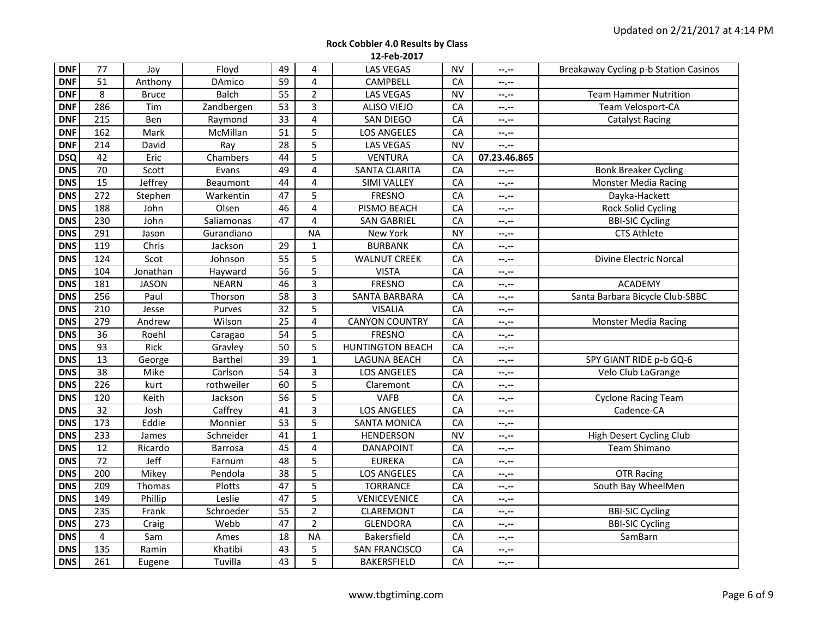| <b>DNF</b> | 77               | Jay          | Floyd          | 49              | 4                       | <b>LAS VEGAS</b>        | <b>NV</b> | --.--        | Breakaway Cycling p-b Station Casinos |
|------------|------------------|--------------|----------------|-----------------|-------------------------|-------------------------|-----------|--------------|---------------------------------------|
| <b>DNF</b> | 51               | Anthony      | <b>DAmico</b>  | 59              | 4                       | CAMPBELL                | CA        | --.--        |                                       |
| <b>DNF</b> | 8                | <b>Bruce</b> | <b>Balch</b>   | 55              | $\overline{2}$          | <b>LAS VEGAS</b>        | <b>NV</b> | --.--        | <b>Team Hammer Nutrition</b>          |
| <b>DNF</b> | 286              | Tim          | Zandbergen     | 53              | 3                       | <b>ALISO VIEJO</b>      | CA        | --.--        | Team Velosport-CA                     |
| <b>DNF</b> | $\overline{215}$ | Ben          | Raymond        | $\overline{33}$ | $\overline{4}$          | <b>SAN DIEGO</b>        | CA        | --.--        | <b>Catalyst Racing</b>                |
| <b>DNF</b> | 162              | Mark         | McMillan       | 51              | 5                       | <b>LOS ANGELES</b>      | CA        | --.--        |                                       |
| <b>DNF</b> | 214              | David        | Ray            | 28              | 5                       | <b>LAS VEGAS</b>        | <b>NV</b> | --.--        |                                       |
| <b>DSQ</b> | 42               | Eric         | Chambers       | 44              | 5                       | <b>VENTURA</b>          | CA        | 07.23.46.865 |                                       |
| <b>DNS</b> | 70               | Scott        | Evans          | 49              | $\overline{\mathbf{4}}$ | <b>SANTA CLARITA</b>    | CA        | --.--        | <b>Bonk Breaker Cycling</b>           |
| <b>DNS</b> | 15               | Jeffrey      | Beaumont       | $\overline{44}$ | 4                       | <b>SIMI VALLEY</b>      | CA        | --.--        | <b>Monster Media Racing</b>           |
| <b>DNS</b> | 272              | Stephen      | Warkentin      | 47              | 5                       | <b>FRESNO</b>           | CA        | --.--        | Dayka-Hackett                         |
| <b>DNS</b> | 188              | John         | Olsen          | 46              | 4                       | PISMO BEACH             | CA        | --.--        | Rock Solid Cycling                    |
| <b>DNS</b> | 230              | John         | Saliamonas     | $\overline{47}$ | 4                       | <b>SAN GABRIEL</b>      | CA        | $- - - - -$  | <b>BBI-SIC Cycling</b>                |
| <b>DNS</b> | 291              | Jason        | Gurandiano     |                 | <b>NA</b>               | New York                | <b>NY</b> | --.--        | <b>CTS Athlete</b>                    |
| <b>DNS</b> | 119              | Chris        | Jackson        | 29              | $\mathbf 1$             | <b>BURBANK</b>          | CA        | $----$       |                                       |
| <b>DNS</b> | 124              | Scot         | Johnson        | $\overline{55}$ | 5                       | <b>WALNUT CREEK</b>     | CA        | --.--        | <b>Divine Electric Norcal</b>         |
| <b>DNS</b> | 104              | Jonathan     | Hayward        | 56              | 5                       | <b>VISTA</b>            | CA        | --.--        |                                       |
| <b>DNS</b> | 181              | <b>JASON</b> | <b>NEARN</b>   | 46              | 3                       | <b>FRESNO</b>           | CA        | --.--        | <b>ACADEMY</b>                        |
| <b>DNS</b> | 256              | Paul         | Thorson        | 58              | 3                       | <b>SANTA BARBARA</b>    | CA        | --.--        | Santa Barbara Bicycle Club-SBBC       |
| <b>DNS</b> | 210              | Jesse        | Purves         | $\overline{32}$ | 5                       | <b>VISALIA</b>          | CA        | --.--        |                                       |
| <b>DNS</b> | 279              | Andrew       | Wilson         | 25              | 4                       | <b>CANYON COUNTRY</b>   | CA        | --.--        | <b>Monster Media Racing</b>           |
| <b>DNS</b> | 36               | Roehl        | Caragao        | $\overline{54}$ | 5                       | <b>FRESNO</b>           | CA        | $----$       |                                       |
| <b>DNS</b> | 93               | Rick         | Gravley        | 50              | 5                       | <b>HUNTINGTON BEACH</b> | CA        | $- - - - -$  |                                       |
| <b>DNS</b> | $\overline{13}$  | George       | <b>Barthel</b> | $\overline{39}$ | $\mathbf{1}$            | <b>LAGUNA BEACH</b>     | CA        | $- - - - -$  | SPY GIANT RIDE p-b GQ-6               |
| <b>DNS</b> | $\overline{38}$  | Mike         | Carlson        | $\overline{54}$ | 3                       | <b>LOS ANGELES</b>      | CA        | --.--        | Velo Club LaGrange                    |
| <b>DNS</b> | 226              | kurt         | rothweiler     | 60              | 5                       | Claremont               | CA        | --.--        |                                       |
| <b>DNS</b> | 120              | Keith        | Jackson        | 56              | 5                       | <b>VAFB</b>             | CA        | --.--        | <b>Cyclone Racing Team</b>            |
| <b>DNS</b> | 32               | Josh         | Caffrey        | 41              | 3                       | <b>LOS ANGELES</b>      | CA        | $-2 - 1$     | Cadence-CA                            |
| <b>DNS</b> | 173              | Eddie        | Monnier        | 53              | 5                       | <b>SANTA MONICA</b>     | CA        | --.--        |                                       |
| <b>DNS</b> | 233              | James        | Schneider      | $\overline{41}$ | 1                       | <b>HENDERSON</b>        | <b>NV</b> | $- - - - -$  | High Desert Cycling Club              |
| <b>DNS</b> | 12               | Ricardo      | Barrosa        | 45              | 4                       | DANAPOINT               | CA        | --.--        | Team Shimano                          |
| <b>DNS</b> | $\overline{72}$  | Jeff         | Farnum         | $\overline{48}$ | $\overline{5}$          | <b>EUREKA</b>           | CA        | --.--        |                                       |
| <b>DNS</b> | $\overline{200}$ | Mikey        | Pendola        | $\overline{38}$ | $\overline{5}$          | <b>LOS ANGELES</b>      | CA        | --.--        | <b>OTR Racing</b>                     |
| <b>DNS</b> | 209              | Thomas       | Plotts         | 47              | 5                       | <b>TORRANCE</b>         | CA        | --.--        | South Bay WheelMen                    |
| <b>DNS</b> | 149              | Phillip      | Leslie         | 47              | 5                       | VENICEVENICE            | CA        | $\pm$ $\pm$  |                                       |
| <b>DNS</b> | 235              | Frank        | Schroeder      | $\overline{55}$ | $\overline{2}$          | <b>CLAREMONT</b>        | CA        | --.--        | <b>BBI-SIC Cycling</b>                |
| <b>DNS</b> | 273              | Craig        | Webb           | $\overline{47}$ | $\overline{2}$          | <b>GLENDORA</b>         | CA        | $- - - - -$  | <b>BBI-SIC Cycling</b>                |
| <b>DNS</b> | 4                | Sam          | Ames           | 18              | <b>NA</b>               | Bakersfield             | CA        | --.--        | SamBarn                               |
| <b>DNS</b> | $\overline{135}$ | Ramin        | Khatibi        | 43              | 5                       | <b>SAN FRANCISCO</b>    | CA        | --.--        |                                       |
| <b>DNS</b> | 261              | Eugene       | Tuvilla        | 43              | 5                       | BAKERSFIELD             | CA        | --.--        |                                       |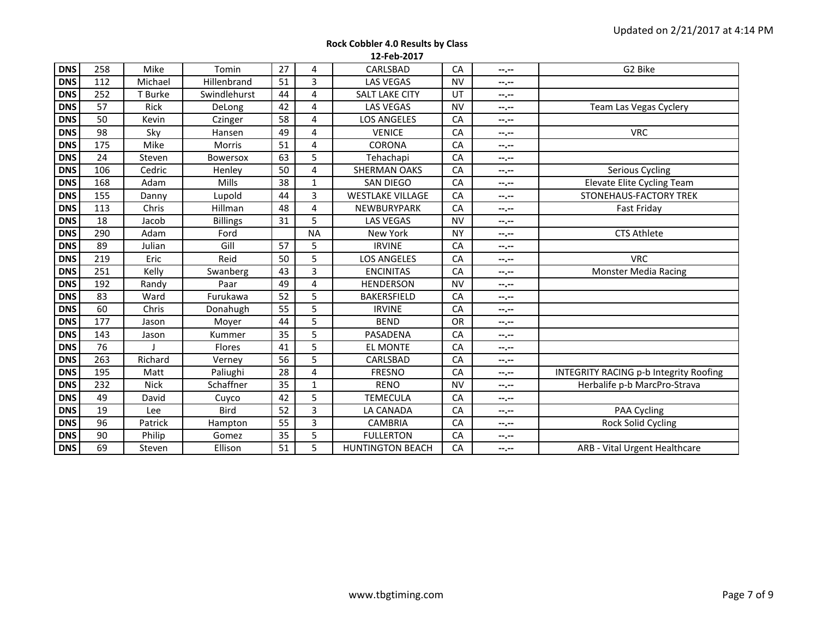| <b>Rock Cobbler 4.0 Results by Class</b> |
|------------------------------------------|
| 12-Feb-2017                              |

| <b>DNS</b> | 258 | Mike        | Tomin           | 27              | 4            | CARLSBAD                | CA        | --.--            | G2 Bike                                       |
|------------|-----|-------------|-----------------|-----------------|--------------|-------------------------|-----------|------------------|-----------------------------------------------|
| <b>DNS</b> | 112 | Michael     | Hillenbrand     | 51              | 3            | <b>LAS VEGAS</b>        | <b>NV</b> | --.--            |                                               |
| <b>DNS</b> | 252 | T Burke     | Swindlehurst    | 44              | 4            | <b>SALT LAKE CITY</b>   | UT        | --.--            |                                               |
| <b>DNS</b> | 57  | <b>Rick</b> | DeLong          | 42              | 4            | <b>LAS VEGAS</b>        | <b>NV</b> | --.--            | Team Las Vegas Cyclery                        |
| <b>DNS</b> | 50  | Kevin       | Czinger         | 58              | 4            | <b>LOS ANGELES</b>      | CA        | $- - - - -$      |                                               |
| <b>DNS</b> | 98  | Sky         | Hansen          | 49              | 4            | <b>VENICE</b>           | CA        | --.--            | <b>VRC</b>                                    |
| <b>DNS</b> | 175 | Mike        | <b>Morris</b>   | 51              | 4            | CORONA                  | CA        | --.--            |                                               |
| <b>DNS</b> | 24  | Steven      | <b>Bowersox</b> | 63              | 5            | Tehachapi               | CA        | --.--            |                                               |
| <b>DNS</b> | 106 | Cedric      | Henley          | 50              | 4            | <b>SHERMAN OAKS</b>     | CA        | --.--            | Serious Cycling                               |
| <b>DNS</b> | 168 | Adam        | Mills           | 38              | $\mathbf{1}$ | <b>SAN DIEGO</b>        | CA        | --.--            | <b>Elevate Elite Cycling Team</b>             |
| <b>DNS</b> | 155 | Danny       | Lupold          | 44              | 3            | <b>WESTLAKE VILLAGE</b> | CA        | --.--            | STONEHAUS-FACTORY TREK                        |
| <b>DNS</b> | 113 | Chris       | Hillman         | 48              | 4            | NEWBURYPARK             | CA        | --.--            | Fast Friday                                   |
| <b>DNS</b> | 18  | Jacob       | <b>Billings</b> | 31              | 5            | <b>LAS VEGAS</b>        | <b>NV</b> | --.--            |                                               |
| <b>DNS</b> | 290 | Adam        | Ford            |                 | <b>NA</b>    | New York                | <b>NY</b> | --.--            | <b>CTS Athlete</b>                            |
| <b>DNS</b> | 89  | Julian      | Gill            | 57              | 5            | <b>IRVINE</b>           | CA        | --.--            |                                               |
| <b>DNS</b> | 219 | Eric        | Reid            | 50              | 5            | <b>LOS ANGELES</b>      | CA        | $- - - - -$      | <b>VRC</b>                                    |
| <b>DNS</b> | 251 | Kelly       | Swanberg        | 43              | 3            | <b>ENCINITAS</b>        | CA        | --.--            | <b>Monster Media Racing</b>                   |
| <b>DNS</b> | 192 | Randy       | Paar            | 49              | 4            | <b>HENDERSON</b>        | <b>NV</b> | $-2 - 1$         |                                               |
| <b>DNS</b> | 83  | Ward        | Furukawa        | 52              | 5            | <b>BAKERSFIELD</b>      | CA        | --.--            |                                               |
| <b>DNS</b> | 60  | Chris       | Donahugh        | 55              | 5            | <b>IRVINE</b>           | CA        | $- - - - -$      |                                               |
| <b>DNS</b> | 177 | Jason       | Moyer           | 44              | 5            | <b>BEND</b>             | OR        | --.--            |                                               |
| <b>DNS</b> | 143 | Jason       | Kummer          | 35              | 5            | PASADENA                | CA        | --.--            |                                               |
| <b>DNS</b> | 76  |             | Flores          | 41              | 5            | <b>EL MONTE</b>         | CA        | --.--            |                                               |
| <b>DNS</b> | 263 | Richard     | Verney          | 56              | 5            | CARLSBAD                | CA        | $-2 - 1$         |                                               |
| <b>DNS</b> | 195 | Matt        | Paliughi        | $\overline{28}$ | 4            | <b>FRESNO</b>           | CA        | --.--            | <b>INTEGRITY RACING p-b Integrity Roofing</b> |
| <b>DNS</b> | 232 | <b>Nick</b> | Schaffner       | 35              | $\mathbf{1}$ | <b>RENO</b>             | <b>NV</b> | --.--            | Herbalife p-b MarcPro-Strava                  |
| <b>DNS</b> | 49  | David       | Cuyco           | 42              | 5            | <b>TEMECULA</b>         | CA        | $- - - - -$      |                                               |
| <b>DNS</b> | 19  | Lee         | Bird            | 52              | 3            | LA CANADA               | CA        | --.--            | PAA Cycling                                   |
| <b>DNS</b> | 96  | Patrick     | Hampton         | 55              | 3            | <b>CAMBRIA</b>          | CA        | $-1 - 1 - 1 = 0$ | Rock Solid Cycling                            |
| <b>DNS</b> | 90  | Philip      | Gomez           | 35              | 5            | <b>FULLERTON</b>        | CA        | --.--            |                                               |
| <b>DNS</b> | 69  | Steven      | Ellison         | 51              | 5            | <b>HUNTINGTON BEACH</b> | CA        | $- - - - -$      | ARB - Vital Urgent Healthcare                 |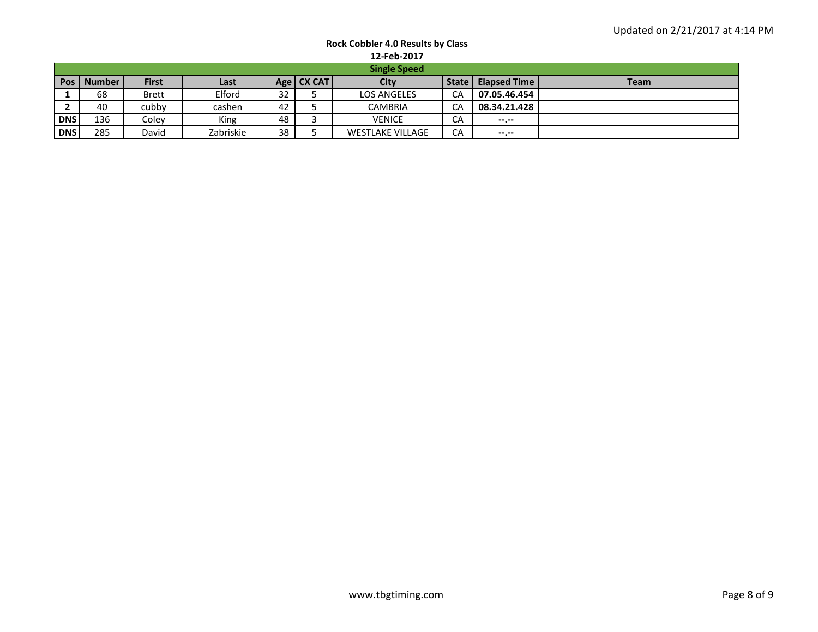| <b>Rock Cobbler 4.0 Results by Class</b> |  |
|------------------------------------------|--|
| 12-Feb-2017                              |  |

|            | TT LED TATI         |              |           |    |              |                         |       |                     |             |  |  |  |  |  |  |
|------------|---------------------|--------------|-----------|----|--------------|-------------------------|-------|---------------------|-------------|--|--|--|--|--|--|
|            | <b>Single Speed</b> |              |           |    |              |                         |       |                     |             |  |  |  |  |  |  |
|            | Pos   Number        | <b>First</b> | Last      |    | Age   CX CAT | City                    | State | <b>Elapsed Time</b> | <b>Team</b> |  |  |  |  |  |  |
|            | 68                  | <b>Brett</b> | Elford    | 32 |              | <b>LOS ANGELES</b>      | CA    | 07.05.46.454        |             |  |  |  |  |  |  |
|            | 40                  | cubby        | cashen    | 42 |              | <b>CAMBRIA</b>          | CA    | 08.34.21.428        |             |  |  |  |  |  |  |
| <b>DNS</b> | 136                 | Colev        | King      | 48 |              | <b>VENICE</b>           | CA    | $-1$                |             |  |  |  |  |  |  |
| <b>DNS</b> | 285                 | David        | Zabriskie | 38 |              | <b>WESTLAKE VILLAGE</b> | CA    | --.--               |             |  |  |  |  |  |  |